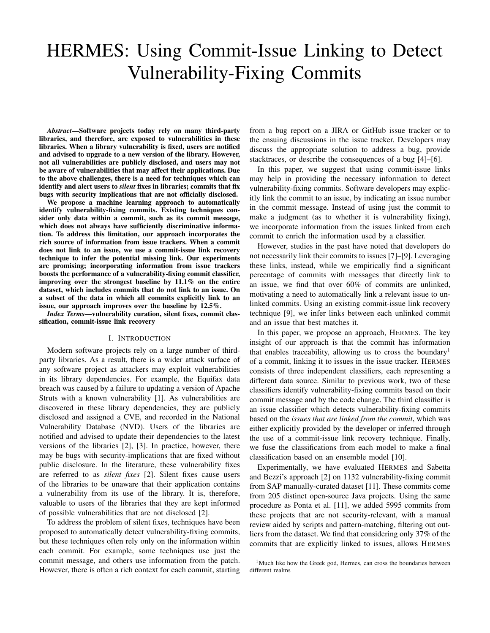# HERMES: Using Commit-Issue Linking to Detect Vulnerability-Fixing Commits

*Abstract*—Software projects today rely on many third-party libraries, and therefore, are exposed to vulnerabilities in these libraries. When a library vulnerability is fixed, users are notified and advised to upgrade to a new version of the library. However, not all vulnerabilities are publicly disclosed, and users may not be aware of vulnerabilities that may affect their applications. Due to the above challenges, there is a need for techniques which can identify and alert users to *silent* fixes in libraries; commits that fix bugs with security implications that are not officially disclosed.

We propose a machine learning approach to automatically identify vulnerability-fixing commits. Existing techniques consider only data within a commit, such as its commit message, which does not always have sufficiently discriminative information. To address this limitation, our approach incorporates the rich source of information from issue trackers. When a commit does not link to an issue, we use a commit-issue link recovery technique to infer the potential missing link. Our experiments are promising; incorporating information from issue trackers boosts the performance of a vulnerability-fixing commit classifier, improving over the strongest baseline by 11.1% on the entire dataset, which includes commits that do not link to an issue. On a subset of the data in which all commits explicitly link to an issue, our approach improves over the baseline by 12.5%.

*Index Terms*—vulnerability curation, silent fixes, commit classification, commit-issue link recovery

#### I. INTRODUCTION

Modern software projects rely on a large number of thirdparty libraries. As a result, there is a wider attack surface of any software project as attackers may exploit vulnerabilities in its library dependencies. For example, the Equifax data breach was caused by a failure to updating a version of Apache Struts with a known vulnerability [1]. As vulnerabilities are discovered in these library dependencies, they are publicly disclosed and assigned a CVE, and recorded in the National Vulnerability Database (NVD). Users of the libraries are notified and advised to update their dependencies to the latest versions of the libraries [2], [3]. In practice, however, there may be bugs with security-implications that are fixed without public disclosure. In the literature, these vulnerability fixes are referred to as *silent fixes* [2]. Silent fixes cause users of the libraries to be unaware that their application contains a vulnerability from its use of the library. It is, therefore, valuable to users of the libraries that they are kept informed of possible vulnerabilities that are not disclosed [2].

To address the problem of silent fixes, techniques have been proposed to automatically detect vulnerability-fixing commits, but these techniques often rely only on the information within each commit. For example, some techniques use just the commit message, and others use information from the patch. However, there is often a rich context for each commit, starting from a bug report on a JIRA or GitHub issue tracker or to the ensuing discussions in the issue tracker. Developers may discuss the appropriate solution to address a bug, provide stacktraces, or describe the consequences of a bug [4]–[6].

In this paper, we suggest that using commit-issue links may help in providing the necessary information to detect vulnerability-fixing commits. Software developers may explicitly link the commit to an issue, by indicating an issue number in the commit message. Instead of using just the commit to make a judgment (as to whether it is vulnerability fixing), we incorporate information from the issues linked from each commit to enrich the information used by a classifier.

However, studies in the past have noted that developers do not necessarily link their commits to issues [7]–[9]. Leveraging these links, instead, while we empirically find a significant percentage of commits with messages that directly link to an issue, we find that over 60% of commits are unlinked, motivating a need to automatically link a relevant issue to unlinked commits. Using an existing commit-issue link recovery technique [9], we infer links between each unlinked commit and an issue that best matches it.

In this paper, we propose an approach, HERMES. The key insight of our approach is that the commit has information that enables traceability, allowing us to cross the boundary<sup>1</sup> of a commit, linking it to issues in the issue tracker. HERMES consists of three independent classifiers, each representing a different data source. Similar to previous work, two of these classifiers identify vulnerability-fixing commits based on their commit message and by the code change. The third classifier is an issue classifier which detects vulnerability-fixing commits based on the *issues that are linked from the commit*, which was either explicitly provided by the developer or inferred through the use of a commit-issue link recovery technique. Finally, we fuse the classifications from each model to make a final classification based on an ensemble model [10].

Experimentally, we have evaluated HERMES and Sabetta and Bezzi's approach [2] on 1132 vulnerability-fixing commit from SAP manually-curated dataset [11]. These commits come from 205 distinct open-source Java projects. Using the same procedure as Ponta et al. [11], we added 5995 commits from these projects that are not security-relevant, with a manual review aided by scripts and pattern-matching, filtering out outliers from the dataset. We find that considering only 37% of the commits that are explicitly linked to issues, allows HERMES

<sup>&</sup>lt;sup>1</sup>Much like how the Greek god, Hermes, can cross the boundaries between different realms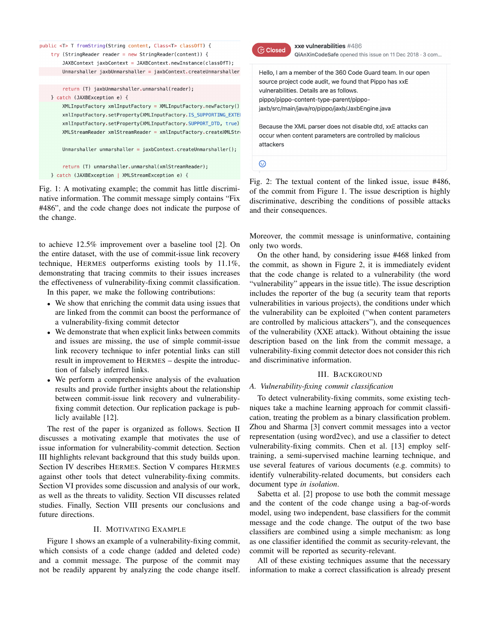```
public <T> T fromString(String content, Class<T> class0fT) {
 try (StringReader reader = new StringReader(content)) {
     JAXBContext jaxbContext = JAXBContext.newInstance(class0fT);
     Unmarshaller jaxbUnmarshaller = jaxbContext.createUnmarshaller
     return (T) jaxbUnmarshaller.unmarshal(reader);
 } catch (JAXBException e) {
     XMLInputFactory xmlInputFactory = XMLInputFactory.newFactory()
     xmlInputFactory.setProperty(XMLInputFactory.IS_SUPPORTING_EXTEI
     xmlInputFactory.setProperty(XMLInputFactory.SUPPORT_DTD, true)
     XMLStreamReader xmlStreamReader = xmlInputFactory.createXMLStr
     Unmarshaller unmarshaller = jaxbContext.createUnmarshaller();
     return (T) unmarshaller.unmarshal(xmlStreamReader);
} catch (JAXBException | XMLStreamException e) {
```
Fig. 1: A motivating example; the commit has little discriminative information. The commit message simply contains "Fix #486", and the code change does not indicate the purpose of the change.

to achieve 12.5% improvement over a baseline tool [2]. On the entire dataset, with the use of commit-issue link recovery technique, HERMES outperforms existing tools by 11.1%, demonstrating that tracing commits to their issues increases the effectiveness of vulnerability-fixing commit classification.

In this paper, we make the following contributions:

- We show that enriching the commit data using issues that are linked from the commit can boost the performance of a vulnerability-fixing commit detector
- We demonstrate that when explicit links between commits and issues are missing, the use of simple commit-issue link recovery technique to infer potential links can still result in improvement to HERMES – despite the introduction of falsely inferred links.
- We perform a comprehensive analysis of the evaluation results and provide further insights about the relationship between commit-issue link recovery and vulnerabilityfixing commit detection. Our replication package is publicly available [12].

The rest of the paper is organized as follows. Section II discusses a motivating example that motivates the use of issue information for vulnerability-commit detection. Section III highlights relevant background that this study builds upon. Section IV describes HERMES. Section V compares HERMES against other tools that detect vulnerability-fixing commits. Section VI provides some discussion and analysis of our work, as well as the threats to validity. Section VII discusses related studies. Finally, Section VIII presents our conclusions and future directions.

# II. MOTIVATING EXAMPLE

Figure 1 shows an example of a vulnerability-fixing commit, which consists of a code change (added and deleted code) and a commit message. The purpose of the commit may not be readily apparent by analyzing the code change itself.



xxe vulnerabilities #486 QiAnXinCodeSafe opened this issue on 11 Dec 2018 · 3 com...

Hello, I am a member of the 360 Code Guard team. In our open source project code audit, we found that Pippo has xxE vulnerabilities. Details are as follows. pippo/pippo-content-type-parent/pippojaxb/src/main/java/ro/pippo/jaxb/JaxbEngine.java

Because the XML parser does not disable dtd, xxE attacks can occur when content parameters are controlled by malicious attackers

 $_{\odot}$ 

Fig. 2: The textual content of the linked issue, issue #486, of the commit from Figure 1. The issue description is highly discriminative, describing the conditions of possible attacks and their consequences.

Moreover, the commit message is uninformative, containing only two words.

On the other hand, by considering issue #468 linked from the commit, as shown in Figure 2, it is immediately evident that the code change is related to a vulnerability (the word "vulnerability" appears in the issue title). The issue description includes the reporter of the bug (a security team that reports vulnerabilities in various projects), the conditions under which the vulnerability can be exploited ("when content parameters are controlled by malicious attackers"), and the consequences of the vulnerability (XXE attack). Without obtaining the issue description based on the link from the commit message, a vulnerability-fixing commit detector does not consider this rich and discriminative information.

# III. BACKGROUND

# *A. Vulnerability-fixing commit classification*

To detect vulnerability-fixing commits, some existing techniques take a machine learning approach for commit classification, treating the problem as a binary classification problem. Zhou and Sharma [3] convert commit messages into a vector representation (using word2vec), and use a classifier to detect vulnerability-fixing commits. Chen et al. [13] employ selftraining, a semi-supervised machine learning technique, and use several features of various documents (e.g. commits) to identify vulnerability-related documents, but considers each document type *in isolation*.

Sabetta et al. [2] propose to use both the commit message and the content of the code change using a bag-of-words model, using two independent, base classifiers for the commit message and the code change. The output of the two base classifiers are combined using a simple mechanism: as long as one classifier identified the commit as security-relevant, the commit will be reported as security-relevant.

All of these existing techniques assume that the necessary information to make a correct classification is already present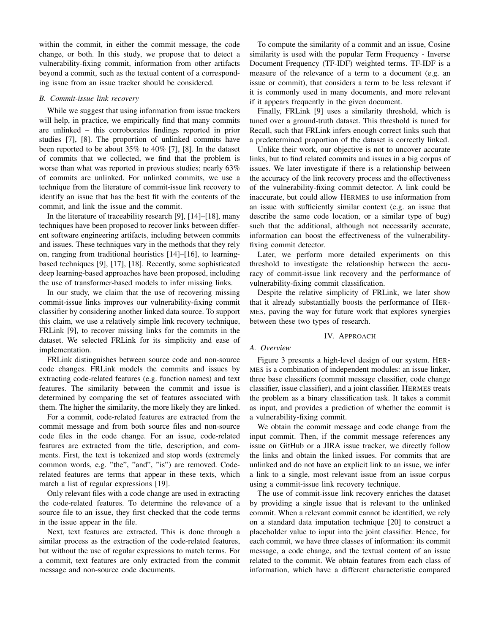within the commit, in either the commit message, the code change, or both. In this study, we propose that to detect a vulnerability-fixing commit, information from other artifacts beyond a commit, such as the textual content of a corresponding issue from an issue tracker should be considered.

## *B. Commit-issue link recovery*

While we suggest that using information from issue trackers will help, in practice, we empirically find that many commits are unlinked – this corroborates findings reported in prior studies [7], [8]. The proportion of unlinked commits have been reported to be about 35% to 40% [7], [8]. In the dataset of commits that we collected, we find that the problem is worse than what was reported in previous studies; nearly 63% of commits are unlinked. For unlinked commits, we use a technique from the literature of commit-issue link recovery to identify an issue that has the best fit with the contents of the commit, and link the issue and the commit.

In the literature of traceability research [9], [14]–[18], many techniques have been proposed to recover links between different software engineering artifacts, including between commits and issues. These techniques vary in the methods that they rely on, ranging from traditional heuristics [14]–[16], to learningbased techniques [9], [17], [18]. Recently, some sophisticated deep learning-based approaches have been proposed, including the use of transformer-based models to infer missing links.

In our study, we claim that the use of recovering missing commit-issue links improves our vulnerability-fixing commit classifier by considering another linked data source. To support this claim, we use a relatively simple link recovery technique, FRLink [9], to recover missing links for the commits in the dataset. We selected FRLink for its simplicity and ease of implementation.

FRLink distinguishes between source code and non-source code changes. FRLink models the commits and issues by extracting code-related features (e.g. function names) and text features. The similarity between the commit and issue is determined by comparing the set of features associated with them. The higher the similarity, the more likely they are linked.

For a commit, code-related features are extracted from the commit message and from both source files and non-source code files in the code change. For an issue, code-related features are extracted from the title, description, and comments. First, the text is tokenized and stop words (extremely common words, e.g. "the", "and", "is") are removed. Coderelated features are terms that appear in these texts, which match a list of regular expressions [19].

Only relevant files with a code change are used in extracting the code-related features. To determine the relevance of a source file to an issue, they first checked that the code terms in the issue appear in the file.

Next, text features are extracted. This is done through a similar process as the extraction of the code-related features, but without the use of regular expressions to match terms. For a commit, text features are only extracted from the commit message and non-source code documents.

To compute the similarity of a commit and an issue, Cosine similarity is used with the popular Term Frequency - Inverse Document Frequency (TF-IDF) weighted terms. TF-IDF is a measure of the relevance of a term to a document (e.g. an issue or commit), that considers a term to be less relevant if it is commonly used in many documents, and more relevant if it appears frequently in the given document.

Finally, FRLink [9] uses a similarity threshold, which is tuned over a ground-truth dataset. This threshold is tuned for Recall, such that FRLink infers enough correct links such that a predetermined proportion of the dataset is correctly linked.

Unlike their work, our objective is not to uncover accurate links, but to find related commits and issues in a big corpus of issues. We later investigate if there is a relationship between the accuracy of the link recovery process and the effectiveness of the vulnerability-fixing commit detector. A link could be inaccurate, but could allow HERMES to use information from an issue with sufficiently similar context (e.g. an issue that describe the same code location, or a similar type of bug) such that the additional, although not necessarily accurate, information can boost the effectiveness of the vulnerabilityfixing commit detector.

Later, we perform more detailed experiments on this threshold to investigate the relationship between the accuracy of commit-issue link recovery and the performance of vulnerability-fixing commit classification.

Despite the relative simplicity of FRLink, we later show that it already substantially boosts the performance of HER-MES, paving the way for future work that explores synergies between these two types of research.

## IV. APPROACH

## *A. Overview*

Figure 3 presents a high-level design of our system. HER-MES is a combination of independent modules: an issue linker, three base classifiers (commit message classifier, code change classifier, issue classifier), and a joint classifier. HERMES treats the problem as a binary classification task. It takes a commit as input, and provides a prediction of whether the commit is a vulnerability-fixing commit.

We obtain the commit message and code change from the input commit. Then, if the commit message references any issue on GitHub or a JIRA issue tracker, we directly follow the links and obtain the linked issues. For commits that are unlinked and do not have an explicit link to an issue, we infer a link to a single, most relevant issue from an issue corpus using a commit-issue link recovery technique.

The use of commit-issue link recovery enriches the dataset by providing a single issue that is relevant to the unlinked commit. When a relevant commit cannot be identified, we rely on a standard data imputation technique [20] to construct a placeholder value to input into the joint classifier. Hence, for each commit, we have three classes of information: its commit message, a code change, and the textual content of an issue related to the commit. We obtain features from each class of information, which have a different characteristic compared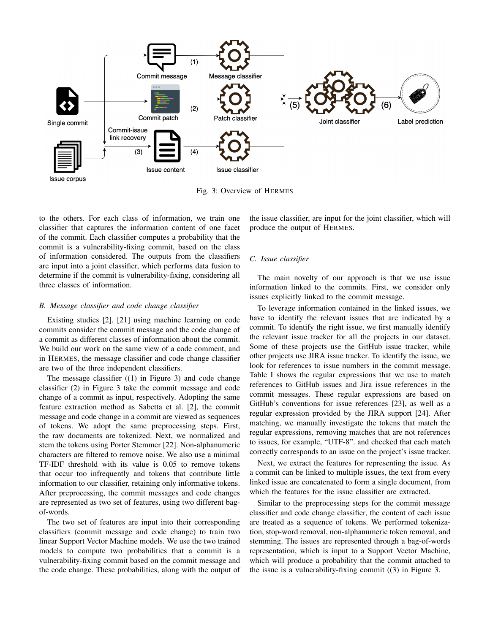

Fig. 3: Overview of HERMES

to the others. For each class of information, we train one classifier that captures the information content of one facet of the commit. Each classifier computes a probability that the commit is a vulnerability-fixing commit, based on the class of information considered. The outputs from the classifiers are input into a joint classifier, which performs data fusion to determine if the commit is vulnerability-fixing, considering all three classes of information.

## *B. Message classifier and code change classifier*

Existing studies [2], [21] using machine learning on code commits consider the commit message and the code change of a commit as different classes of information about the commit. We build our work on the same view of a code comment, and in HERMES, the message classifier and code change classifier are two of the three independent classifiers.

The message classifier  $((1)$  in Figure 3) and code change classifier (2) in Figure 3 take the commit message and code change of a commit as input, respectively. Adopting the same feature extraction method as Sabetta et al. [2], the commit message and code change in a commit are viewed as sequences of tokens. We adopt the same preprocessing steps. First, the raw documents are tokenized. Next, we normalized and stem the tokens using Porter Stemmer [22]. Non-alphanumeric characters are filtered to remove noise. We also use a minimal TF-IDF threshold with its value is 0.05 to remove tokens that occur too infrequently and tokens that contribute little information to our classifier, retaining only informative tokens. After preprocessing, the commit messages and code changes are represented as two set of features, using two different bagof-words.

The two set of features are input into their corresponding classifiers (commit message and code change) to train two linear Support Vector Machine models. We use the two trained models to compute two probabilities that a commit is a vulnerability-fixing commit based on the commit message and the code change. These probabilities, along with the output of the issue classifier, are input for the joint classifier, which will produce the output of HERMES.

## *C. Issue classifier*

The main novelty of our approach is that we use issue information linked to the commits. First, we consider only issues explicitly linked to the commit message.

To leverage information contained in the linked issues, we have to identify the relevant issues that are indicated by a commit. To identify the right issue, we first manually identify the relevant issue tracker for all the projects in our dataset. Some of these projects use the GitHub issue tracker, while other projects use JIRA issue tracker. To identify the issue, we look for references to issue numbers in the commit message. Table I shows the regular expressions that we use to match references to GitHub issues and Jira issue references in the commit messages. These regular expressions are based on GitHub's conventions for issue references [23], as well as a regular expression provided by the JIRA support [24]. After matching, we manually investigate the tokens that match the regular expressions, removing matches that are not references to issues, for example, "UTF-8". and checked that each match correctly corresponds to an issue on the project's issue tracker.

Next, we extract the features for representing the issue. As a commit can be linked to multiple issues, the text from every linked issue are concatenated to form a single document, from which the features for the issue classifier are extracted.

Similar to the preprocessing steps for the commit message classifier and code change classifier, the content of each issue are treated as a sequence of tokens. We performed tokenization, stop-word removal, non-alphanumeric token removal, and stemming. The issues are represented through a bag-of-words representation, which is input to a Support Vector Machine, which will produce a probability that the commit attached to the issue is a vulnerability-fixing commit ((3) in Figure 3.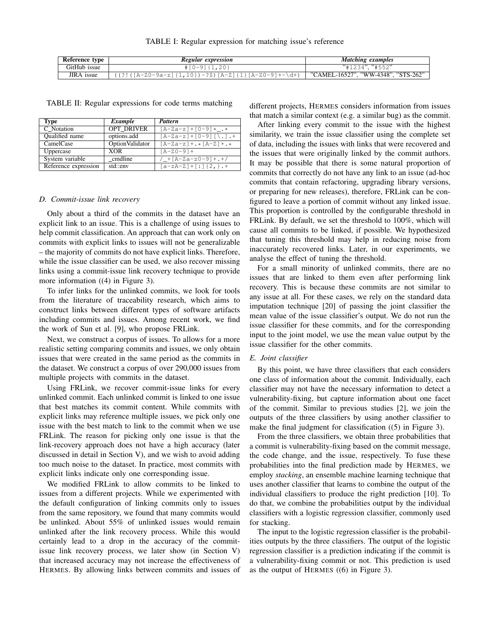TABLE I: Regular expression for matching issue's reference

| Reference type    | Regular expression                                         | Matching examples                   |
|-------------------|------------------------------------------------------------|-------------------------------------|
| GitHub issue      | $# [0-9] {1,20}$                                           | "#1234". "#552"                     |
| <b>JIRA</b> issue | $((?!(A-Z0-9a-z)(1,10))-?$ \$ $(A-Z)(1,[A-Z0-9]+-\dagger)$ | "CAMEL-16527", "WW-4348", "STS-262" |

TABLE II: Regular expressions for code terms matching

| Type                  | Example                | Pattern                            |
|-----------------------|------------------------|------------------------------------|
| C Notation            | <b>OPT DRIVER</b>      | $[A-Za-z]+[0-9]*$ .*               |
| <b>Oualified</b> name | options.add            | $[A-Za-z]+[0-9][\ldots].+$         |
| CamelCase             | <b>OptionValidator</b> | $[A-Za-z] + \cdot$ $[A-Z] + \cdot$ |
| Uppercase             | <b>XOR</b>             | $[A - Z 0 - 9] +$                  |
| System variable       | cmdline                | /_+[A-Za-z0-9]+.+/                 |
| Reference expression  | std::env               | $[a-zA-Z]+[:]{2,}$ .+              |

#### *D. Commit-issue link recovery*

Only about a third of the commits in the dataset have an explicit link to an issue. This is a challenge of using issues to help commit classification. An approach that can work only on commits with explicit links to issues will not be generalizable – the majority of commits do not have explicit links. Therefore, while the issue classifier can be used, we also recover missing links using a commit-issue link recovery technique to provide more information ((4) in Figure 3).

To infer links for the unlinked commits, we look for tools from the literature of traceability research, which aims to construct links between different types of software artifacts including commits and issues. Among recent work, we find the work of Sun et al. [9], who propose FRLink.

Next, we construct a corpus of issues. To allows for a more realistic setting comparing commits and issues, we only obtain issues that were created in the same period as the commits in the dataset. We construct a corpus of over 290,000 issues from multiple projects with commits in the dataset.

Using FRLink, we recover commit-issue links for every unlinked commit. Each unlinked commit is linked to one issue that best matches its commit content. While commits with explicit links may reference multiple issues, we pick only one issue with the best match to link to the commit when we use FRLink. The reason for picking only one issue is that the link-recovery approach does not have a high accuracy (later discussed in detail in Section V), and we wish to avoid adding too much noise to the dataset. In practice, most commits with explicit links indicate only one corresponding issue.

We modified FRLink to allow commits to be linked to issues from a different projects. While we experimented with the default configuration of linking commits only to issues from the same repository, we found that many commits would be unlinked. About 55% of unlinked issues would remain unlinked after the link recovery process. While this would certainly lead to a drop in the accuracy of the commitissue link recovery process, we later show (in Section V) that increased accuracy may not increase the effectiveness of HERMES. By allowing links between commits and issues of different projects, HERMES considers information from issues that match a similar context (e.g. a similar bug) as the commit.

After linking every commit to the issue with the highest similarity, we train the issue classifier using the complete set of data, including the issues with links that were recovered and the issues that were originally linked by the commit authors. It may be possible that there is some natural proportion of commits that correctly do not have any link to an issue (ad-hoc commits that contain refactoring, upgrading library versions, or preparing for new releases), therefore, FRLink can be configured to leave a portion of commit without any linked issue. This proportion is controlled by the configurable threshold in FRLink. By default, we set the threshold to 100%, which will cause all commits to be linked, if possible. We hypothesized that tuning this threshold may help in reducing noise from inaccurately recovered links. Later, in our experiments, we analyse the effect of tuning the threshold.

For a small minority of unlinked commits, there are no issues that are linked to them even after performing link recovery. This is because these commits are not similar to any issue at all. For these cases, we rely on the standard data imputation technique [20] of passing the joint classifier the mean value of the issue classifier's output. We do not run the issue classifier for these commits, and for the corresponding input to the joint model, we use the mean value output by the issue classifier for the other commits.

### *E. Joint classifier*

By this point, we have three classifiers that each considers one class of information about the commit. Individually, each classifier may not have the necessary information to detect a vulnerability-fixing, but capture information about one facet of the commit. Similar to previous studies [2], we join the outputs of the three classifiers by using another classifier to make the final judgment for classification ((5) in Figure 3).

From the three classifiers, we obtain three probabilities that a commit is vulnerability-fixing based on the commit message, the code change, and the issue, respectively. To fuse these probabilities into the final prediction made by HERMES, we employ *stacking*, an ensemble machine learning technique that uses another classifier that learns to combine the output of the individual classifiers to produce the right prediction [10]. To do that, we combine the probabilities output by the individual classifiers with a logistic regression classifier, commonly used for stacking.

The input to the logistic regression classifier is the probabilities outputs by the three classifiers. The output of the logistic regression classifier is a prediction indicating if the commit is a vulnerability-fixing commit or not. This prediction is used as the output of HERMES ((6) in Figure 3).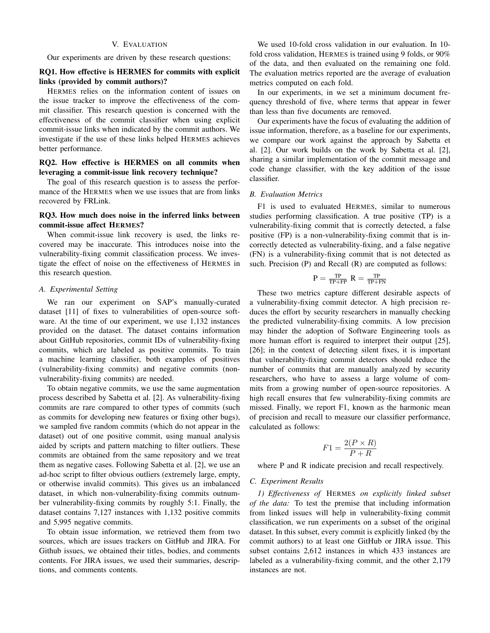## V. EVALUATION

Our experiments are driven by these research questions:

# RQ1. How effective is HERMES for commits with explicit links (provided by commit authors)?

HERMES relies on the information content of issues on the issue tracker to improve the effectiveness of the commit classifier. This research question is concerned with the effectiveness of the commit classifier when using explicit commit-issue links when indicated by the commit authors. We investigate if the use of these links helped HERMES achieves better performance.

# RQ2. How effective is HERMES on all commits when leveraging a commit-issue link recovery technique?

The goal of this research question is to assess the performance of the HERMES when we use issues that are from links recovered by FRLink.

# RQ3. How much does noise in the inferred links between commit-issue affect HERMES?

When commit-issue link recovery is used, the links recovered may be inaccurate. This introduces noise into the vulnerability-fixing commit classification process. We investigate the effect of noise on the effectiveness of HERMES in this research question.

## *A. Experimental Setting*

We ran our experiment on SAP's manually-curated dataset [11] of fixes to vulnerabilities of open-source software. At the time of our experiment, we use 1,132 instances provided on the dataset. The dataset contains information about GitHub repositories, commit IDs of vulnerability-fixing commits, which are labeled as positive commits. To train a machine learning classifier, both examples of positives (vulnerability-fixing commits) and negative commits (nonvulnerability-fixing commits) are needed.

To obtain negative commits, we use the same augmentation process described by Sabetta et al. [2]. As vulnerability-fixing commits are rare compared to other types of commits (such as commits for developing new features or fixing other bugs), we sampled five random commits (which do not appear in the dataset) out of one positive commit, using manual analysis aided by scripts and pattern matching to filter outliers. These commits are obtained from the same repository and we treat them as negative cases. Following Sabetta et al. [2], we use an ad-hoc script to filter obvious outliers (extremely large, empty, or otherwise invalid commits). This gives us an imbalanced dataset, in which non-vulnerability-fixing commits outnumber vulnerability-fixing commits by roughly 5:1. Finally, the dataset contains 7,127 instances with 1,132 positive commits and 5,995 negative commits.

To obtain issue information, we retrieved them from two sources, which are issues trackers on GitHub and JIRA. For Github issues, we obtained their titles, bodies, and comments contents. For JIRA issues, we used their summaries, descriptions, and comments contents.

We used 10-fold cross validation in our evaluation. In 10 fold cross validation, HERMES is trained using 9 folds, or 90% of the data, and then evaluated on the remaining one fold. The evaluation metrics reported are the average of evaluation metrics computed on each fold.

In our experiments, in we set a minimum document frequency threshold of five, where terms that appear in fewer than less than five documents are removed.

Our experiments have the focus of evaluating the addition of issue information, therefore, as a baseline for our experiments, we compare our work against the approach by Sabetta et al. [2]. Our work builds on the work by Sabetta et al. [2], sharing a similar implementation of the commit message and code change classifier, with the key addition of the issue classifier.

## *B. Evaluation Metrics*

F1 is used to evaluated HERMES, similar to numerous studies performing classification. A true positive (TP) is a vulnerability-fixing commit that is correctly detected, a false positive (FP) is a non-vulnerability-fixing commit that is incorrectly detected as vulnerability-fixing, and a false negative (FN) is a vulnerability-fixing commit that is not detected as such. Precision (P) and Recall (R) are computed as follows:

$$
\mathrm{P} = \tfrac{\mathrm{TP}}{\mathrm{TP} + \mathrm{FP}} \; \mathrm{R} = \tfrac{\mathrm{TP}}{\mathrm{TP} + \mathrm{FN}}
$$

These two metrics capture different desirable aspects of a vulnerability-fixing commit detector. A high precision reduces the effort by security researchers in manually checking the predicted vulnerability-fixing commits. A low precision may hinder the adoption of Software Engineering tools as more human effort is required to interpret their output [25], [26]; in the context of detecting silent fixes, it is important that vulnerability-fixing commit detectors should reduce the number of commits that are manually analyzed by security researchers, who have to assess a large volume of commits from a growing number of open-source repositories. A high recall ensures that few vulnerability-fixing commits are missed. Finally, we report F1, known as the harmonic mean of precision and recall to measure our classifier performance, calculated as follows:

$$
F1 = \frac{2(P \times R)}{P + R}
$$

where P and R indicate precision and recall respectively.

# *C. Experiment Results*

*1) Effectiveness of* HERMES *on explicitly linked subset of the data:* To test the premise that including information from linked issues will help in vulnerability-fixing commit classification, we run experiments on a subset of the original dataset. In this subset, every commit is explicitly linked (by the commit authors) to at least one GitHub or JIRA issue. This subset contains 2,612 instances in which 433 instances are labeled as a vulnerability-fixing commit, and the other 2,179 instances are not.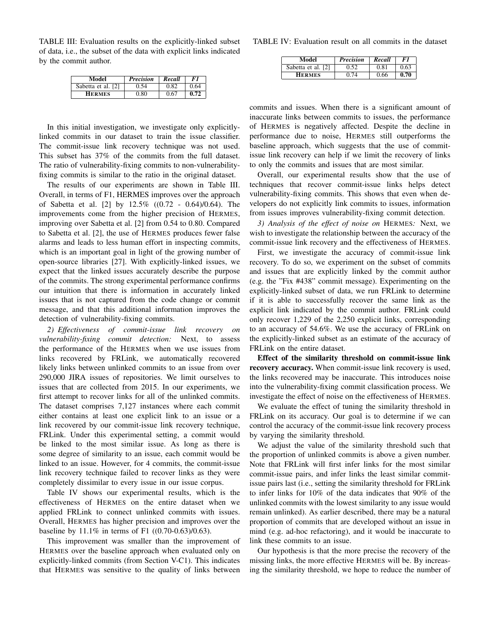TABLE III: Evaluation results on the explicitly-linked subset of data, i.e., the subset of the data with explicit links indicated by the commit author.

| Model              | <b>Precision</b> | Recall | F1   |
|--------------------|------------------|--------|------|
| Sabetta et al. [2] | ).54             | 0.82   | በ 64 |
| <b>HERMES</b>      | 9.80             | 0.67   | 0.72 |

In this initial investigation, we investigate only explicitlylinked commits in our dataset to train the issue classifier. The commit-issue link recovery technique was not used. This subset has 37% of the commits from the full dataset. The ratio of vulnerability-fixing commits to non-vulnerabilityfixing commits is similar to the ratio in the original dataset.

The results of our experiments are shown in Table III. Overall, in terms of F1, HERMES improves over the approach of Sabetta et al. [2] by 12.5% ((0.72 - 0.64)/0.64). The improvements come from the higher precision of HERMES, improving over Sabetta et al. [2] from 0.54 to 0.80. Compared to Sabetta et al. [2], the use of HERMES produces fewer false alarms and leads to less human effort in inspecting commits, which is an important goal in light of the growing number of open-source libraries [27]. With explicitly-linked issues, we expect that the linked issues accurately describe the purpose of the commits. The strong experimental performance confirms our intuition that there is information in accurately linked issues that is not captured from the code change or commit message, and that this additional information improves the detection of vulnerability-fixing commits.

*2) Effectiveness of commit-issue link recovery on vulnerability-fixing commit detection:* Next, to assess the performance of the HERMES when we use issues from links recovered by FRLink, we automatically recovered likely links between unlinked commits to an issue from over 290,000 JIRA issues of repositories. We limit ourselves to issues that are collected from 2015. In our experiments, we first attempt to recover links for all of the unlinked commits. The dataset comprises 7,127 instances where each commit either contains at least one explicit link to an issue or a link recovered by our commit-issue link recovery technique, FRLink. Under this experimental setting, a commit would be linked to the most similar issue. As long as there is some degree of similarity to an issue, each commit would be linked to an issue. However, for 4 commits, the commit-issue link recovery technique failed to recover links as they were completely dissimilar to every issue in our issue corpus.

Table IV shows our experimental results, which is the effectiveness of HERMES on the entire dataset when we applied FRLink to connect unlinked commits with issues. Overall, HERMES has higher precision and improves over the baseline by 11.1% in terms of F1 ((0.70-0.63)/0.63).

This improvement was smaller than the improvement of HERMES over the baseline approach when evaluated only on explicitly-linked commits (from Section V-C1). This indicates that HERMES was sensitive to the quality of links between TABLE IV: Evaluation result on all commits in the dataset

| Model              | <b>Precision</b> | Recall | F 1  |
|--------------------|------------------|--------|------|
| Sabetta et al. [2] |                  | 0.81   | 0.63 |
| <b>HERMES</b>      | በ 74             | 0.66   | 0.70 |

commits and issues. When there is a significant amount of inaccurate links between commits to issues, the performance of HERMES is negatively affected. Despite the decline in performance due to noise, HERMES still outperforms the baseline approach, which suggests that the use of commitissue link recovery can help if we limit the recovery of links to only the commits and issues that are most similar.

Overall, our experimental results show that the use of techniques that recover commit-issue links helps detect vulnerability-fixing commits. This shows that even when developers do not explicitly link commits to issues, information from issues improves vulnerability-fixing commit detection.

*3) Analysis of the effect of noise on* HERMES*:* Next, we wish to investigate the relationship between the accuracy of the commit-issue link recovery and the effectiveness of HERMES.

First, we investigate the accuracy of commit-issue link recovery. To do so, we experiment on the subset of commits and issues that are explicitly linked by the commit author (e.g. the "Fix #438" commit message). Experimenting on the explicitly-linked subset of data, we run FRLink to determine if it is able to successfully recover the same link as the explicit link indicated by the commit author. FRLink could only recover 1,229 of the 2,250 explicit links, corresponding to an accuracy of 54.6%. We use the accuracy of FRLink on the explicitly-linked subset as an estimate of the accuracy of FRLink on the entire dataset.

Effect of the similarity threshold on commit-issue link recovery accuracy. When commit-issue link recovery is used, the links recovered may be inaccurate. This introduces noise into the vulnerability-fixing commit classification process. We investigate the effect of noise on the effectiveness of HERMES.

We evaluate the effect of tuning the similarity threshold in FRLink on its accuracy. Our goal is to determine if we can control the accuracy of the commit-issue link recovery process by varying the similarity threshold.

We adjust the value of the similarity threshold such that the proportion of unlinked commits is above a given number. Note that FRLink will first infer links for the most similar commit-issue pairs, and infer links the least similar commitissue pairs last (i.e., setting the similarity threshold for FRLink to infer links for 10% of the data indicates that 90% of the unlinked commits with the lowest similarity to any issue would remain unlinked). As earlier described, there may be a natural proportion of commits that are developed without an issue in mind (e.g. ad-hoc refactoring), and it would be inaccurate to link these commits to an issue.

Our hypothesis is that the more precise the recovery of the missing links, the more effective HERMES will be. By increasing the similarity threshold, we hope to reduce the number of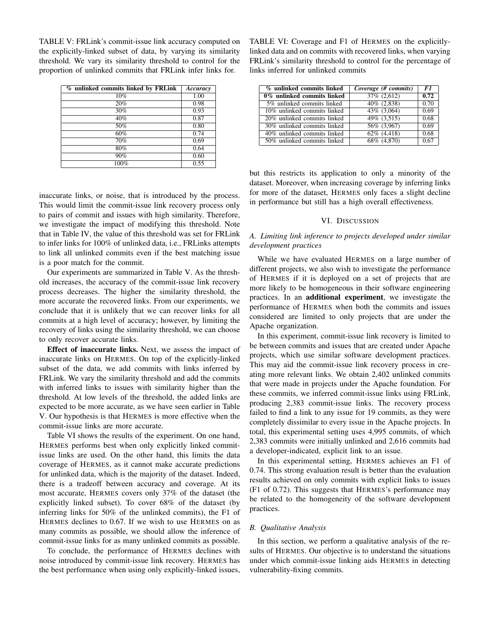TABLE V: FRLink's commit-issue link accuracy computed on the explicitly-linked subset of data, by varying its similarity threshold. We vary its similarity threshold to control for the proportion of unlinked commits that FRLink infer links for.

| % unlinked commits linked by FRLink | Accuracy |
|-------------------------------------|----------|
| 10%                                 | 1.00     |
| 20%                                 | 0.98     |
| 30%                                 | 0.93     |
| 40%                                 | 0.87     |
| 50%                                 | 0.80     |
| 60%                                 | 0.74     |
| 70%                                 | 0.69     |
| 80%                                 | 0.64     |
| 90%                                 | 0.60     |
| 100%                                | 0.55     |

inaccurate links, or noise, that is introduced by the process. This would limit the commit-issue link recovery process only to pairs of commit and issues with high similarity. Therefore, we investigate the impact of modifying this threshold. Note that in Table IV, the value of this threshold was set for FRLink to infer links for 100% of unlinked data, i.e., FRLinks attempts to link all unlinked commits even if the best matching issue is a poor match for the commit.

Our experiments are summarized in Table V. As the threshold increases, the accuracy of the commit-issue link recovery process decreases. The higher the similarity threshold, the more accurate the recovered links. From our experiments, we conclude that it is unlikely that we can recover links for all commits at a high level of accuracy; however, by limiting the recovery of links using the similarity threshold, we can choose to only recover accurate links.

Effect of inaccurate links. Next, we assess the impact of inaccurate links on HERMES. On top of the explicitly-linked subset of the data, we add commits with links inferred by FRLink. We vary the similarity threshold and add the commits with inferred links to issues with similarity higher than the threshold. At low levels of the threshold, the added links are expected to be more accurate, as we have seen earlier in Table V. Our hypothesis is that HERMES is more effective when the commit-issue links are more accurate.

Table VI shows the results of the experiment. On one hand, HERMES performs best when only explicitly linked commitissue links are used. On the other hand, this limits the data coverage of HERMES, as it cannot make accurate predictions for unlinked data, which is the majority of the dataset. Indeed, there is a tradeoff between accuracy and coverage. At its most accurate, HERMES covers only 37% of the dataset (the explicitly linked subset). To cover 68% of the dataset (by inferring links for 50% of the unlinked commits), the F1 of HERMES declines to 0.67. If we wish to use HERMES on as many commits as possible, we should allow the inference of commit-issue links for as many unlinked commits as possible.

To conclude, the performance of HERMES declines with noise introduced by commit-issue link recovery. HERMES has the best performance when using only explicitly-linked issues,

TABLE VI: Coverage and F1 of HERMES on the explicitlylinked data and on commits with recovered links, when varying FRLink's similarity threshold to control for the percentage of links inferred for unlinked commits

| % unlinked commits linked      | Coverage (# commits) | F1   |
|--------------------------------|----------------------|------|
| 0% unlinked commits linked     | 37% (2,612)          | 0.72 |
| 5% unlinked commits linked     | $40\%$ $(2,838)$     | 0.70 |
| 10% unlinked commits linked    | 43% (3,064)          | 0.69 |
| $20\%$ unlinked commits linked | $49\%$ $(3,515)$     | 0.68 |
| 30% unlinked commits linked    | 56% (3,967)          | 0.69 |
| 40% unlinked commits linked    | $62\%$ $(4,418)$     | 0.68 |
| 50% unlinked commits linked    | $68\%$ $(4,870)$     | 0.67 |

but this restricts its application to only a minority of the dataset. Moreover, when increasing coverage by inferring links for more of the dataset, HERMES only faces a slight decline in performance but still has a high overall effectiveness.

#### VI. DISCUSSION

# *A. Limiting link inference to projects developed under similar development practices*

While we have evaluated HERMES on a large number of different projects, we also wish to investigate the performance of HERMES if it is deployed on a set of projects that are more likely to be homogeneous in their software engineering practices. In an additional experiment, we investigate the performance of HERMES when both the commits and issues considered are limited to only projects that are under the Apache organization.

In this experiment, commit-issue link recovery is limited to be between commits and issues that are created under Apache projects, which use similar software development practices. This may aid the commit-issue link recovery process in creating more relevant links. We obtain 2,402 unlinked commits that were made in projects under the Apache foundation. For these commits, we inferred commit-issue links using FRLink, producing 2,383 commit-issue links. The recovery process failed to find a link to any issue for 19 commits, as they were completely dissimilar to every issue in the Apache projects. In total, this experimental setting uses 4,995 commits, of which 2,383 commits were initially unlinked and 2,616 commits had a developer-indicated, explicit link to an issue.

In this experimental setting, HERMES achieves an F1 of 0.74. This strong evaluation result is better than the evaluation results achieved on only commits with explicit links to issues (F1 of 0.72). This suggests that HERMES's performance may be related to the homogeneity of the software development practices.

## *B. Qualitative Analysis*

In this section, we perform a qualitative analysis of the results of HERMES. Our objective is to understand the situations under which commit-issue linking aids HERMES in detecting vulnerability-fixing commits.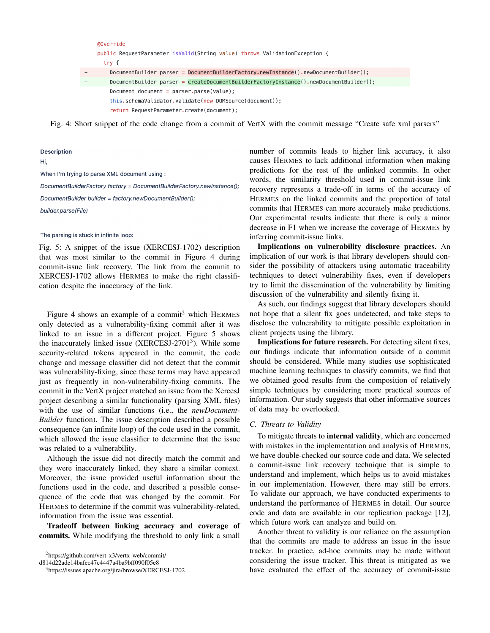|           | @Override                                                                                |
|-----------|------------------------------------------------------------------------------------------|
|           | public RequestParameter isValid(String value) throws ValidationException {               |
|           | try {                                                                                    |
|           | DocumentBuilder parser = DocumentBuilderFactory.newInstance().newDocumentBuilder();      |
| $\ddot{}$ | DocumentBuilder parser = $c$ reateDocumentBuilderFactoryInstance().newDocumentBuilder(); |
|           | Document document = parser.parse(value);                                                 |
|           | this.schemaValidator.validate(new DOMSource(document));                                  |
|           | return RequestParameter.create(document);                                                |

Fig. 4: Short snippet of the code change from a commit of VertX with the commit message "Create safe xml parsers"

#### **Description**

# Hi,

When I'm trying to parse XML document using :

DocumentBuilderFactory factory = DocumentBuilderFactory.newInstance(); DocumentBuilder builder = factory.newDocumentBuilder(); builder.parse(File)

#### The parsing is stuck in infinite loop:

Fig. 5: A snippet of the issue (XERCESJ-1702) description that was most similar to the commit in Figure 4 during commit-issue link recovery. The link from the commit to XERCESJ-1702 allows HERMES to make the right classification despite the inaccuracy of the link.

Figure 4 shows an example of a commit<sup>2</sup> which HERMES only detected as a vulnerability-fixing commit after it was linked to an issue in a different project. Figure 5 shows the inaccurately linked issue (XERCESJ-2701<sup>3</sup>). While some security-related tokens appeared in the commit, the code change and message classifier did not detect that the commit was vulnerability-fixing, since these terms may have appeared just as frequently in non-vulnerability-fixing commits. The commit in the VertX project matched an issue from the XercesJ project describing a similar functionality (parsing XML files) with the use of similar functions (i.e., the *newDocument-Builder* function). The issue description described a possible consequence (an infinite loop) of the code used in the commit, which allowed the issue classifier to determine that the issue was related to a vulnerability.

Although the issue did not directly match the commit and they were inaccurately linked, they share a similar context. Moreover, the issue provided useful information about the functions used in the code, and described a possible consequence of the code that was changed by the commit. For HERMES to determine if the commit was vulnerability-related, information from the issue was essential.

Tradeoff between linking accuracy and coverage of commits. While modifying the threshold to only link a small

<sup>2</sup>https://github.com/vert-x3/vertx-web/commit/

d814d22ade14bafec47c4447a4ba9bff090f05e8

<sup>3</sup>https://issues.apache.org/jira/browse/XERCESJ-1702

number of commits leads to higher link accuracy, it also causes HERMES to lack additional information when making predictions for the rest of the unlinked commits. In other words, the similarity threshold used in commit-issue link recovery represents a trade-off in terms of the accuracy of HERMES on the linked commits and the proportion of total commits that HERMES can more accurately make predictions. Our experimental results indicate that there is only a minor decrease in F1 when we increase the coverage of HERMES by inferring commit-issue links.

Implications on vulnerability disclosure practices. An implication of our work is that library developers should consider the possibility of attackers using automatic traceability techniques to detect vulnerability fixes, even if developers try to limit the dissemination of the vulnerability by limiting discussion of the vulnerability and silently fixing it.

As such, our findings suggest that library developers should not hope that a silent fix goes undetected, and take steps to disclose the vulnerability to mitigate possible exploitation in client projects using the library.

Implications for future research. For detecting silent fixes, our findings indicate that information outside of a commit should be considered. While many studies use sophisticated machine learning techniques to classify commits, we find that we obtained good results from the composition of relatively simple techniques by considering more practical sources of information. Our study suggests that other informative sources of data may be overlooked.

#### *C. Threats to Validity*

To mitigate threats to internal validity, which are concerned with mistakes in the implementation and analysis of HERMES, we have double-checked our source code and data. We selected a commit-issue link recovery technique that is simple to understand and implement, which helps us to avoid mistakes in our implementation. However, there may still be errors. To validate our approach, we have conducted experiments to understand the performance of HERMES in detail. Our source code and data are available in our replication package [12], which future work can analyze and build on.

Another threat to validity is our reliance on the assumption that the commits are made to address an issue in the issue tracker. In practice, ad-hoc commits may be made without considering the issue tracker. This threat is mitigated as we have evaluated the effect of the accuracy of commit-issue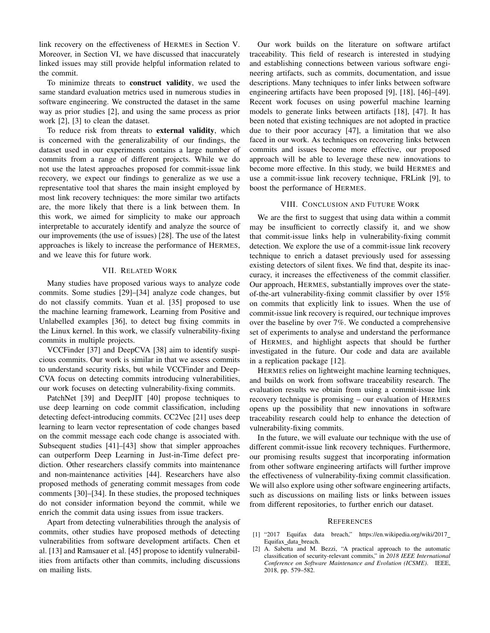link recovery on the effectiveness of HERMES in Section V. Moreover, in Section VI, we have discussed that inaccurately linked issues may still provide helpful information related to the commit.

To minimize threats to construct validity, we used the same standard evaluation metrics used in numerous studies in software engineering. We constructed the dataset in the same way as prior studies [2], and using the same process as prior work [2], [3] to clean the dataset.

To reduce risk from threats to external validity, which is concerned with the generalizability of our findings, the dataset used in our experiments contains a large number of commits from a range of different projects. While we do not use the latest approaches proposed for commit-issue link recovery, we expect our findings to generalize as we use a representative tool that shares the main insight employed by most link recovery techniques: the more similar two artifacts are, the more likely that there is a link between them. In this work, we aimed for simplicity to make our approach interpretable to accurately identify and analyze the source of our improvements (the use of issues) [28]. The use of the latest approaches is likely to increase the performance of HERMES, and we leave this for future work.

# VII. RELATED WORK

Many studies have proposed various ways to analyze code commits. Some studies [29]–[34] analyze code changes, but do not classify commits. Yuan et al. [35] proposed to use the machine learning framework, Learning from Positive and Unlabelled examples [36], to detect bug fixing commits in the Linux kernel. In this work, we classify vulnerability-fixing commits in multiple projects.

VCCFinder [37] and DeepCVA [38] aim to identify suspicious commits. Our work is similar in that we assess commits to understand security risks, but while VCCFinder and Deep-CVA focus on detecting commits introducing vulnerabilities, our work focuses on detecting vulnerability-fixing commits.

PatchNet [39] and DeepJIT [40] propose techniques to use deep learning on code commit classification, including detecting defect-introducing commits. CC2Vec [21] uses deep learning to learn vector representation of code changes based on the commit message each code change is associated with. Subsequent studies [41]–[43] show that simpler approaches can outperform Deep Learning in Just-in-Time defect prediction. Other researchers classify commits into maintenance and non-maintenance activities [44]. Researchers have also proposed methods of generating commit messages from code comments [30]–[34]. In these studies, the proposed techniques do not consider information beyond the commit, while we enrich the commit data using issues from issue trackers.

Apart from detecting vulnerabilities through the analysis of commits, other studies have proposed methods of detecting vulnerabilities from software development artifacts. Chen et al. [13] and Ramsauer et al. [45] propose to identify vulnerabilities from artifacts other than commits, including discussions on mailing lists.

Our work builds on the literature on software artifact traceability. This field of research is interested in studying and establishing connections between various software engineering artifacts, such as commits, documentation, and issue descriptions. Many techniques to infer links between software engineering artifacts have been proposed [9], [18], [46]–[49]. Recent work focuses on using powerful machine learning models to generate links between artifacts [18], [47]. It has been noted that existing techniques are not adopted in practice due to their poor accuracy [47], a limitation that we also faced in our work. As techniques on recovering links between commits and issues become more effective, our proposed approach will be able to leverage these new innovations to become more effective. In this study, we build HERMES and use a commit-issue link recovery technique, FRLink [9], to boost the performance of HERMES.

#### VIII. CONCLUSION AND FUTURE WORK

We are the first to suggest that using data within a commit may be insufficient to correctly classify it, and we show that commit-issue links help in vulnerability-fixing commit detection. We explore the use of a commit-issue link recovery technique to enrich a dataset previously used for assessing existing detectors of silent fixes. We find that, despite its inaccuracy, it increases the effectiveness of the commit classifier. Our approach, HERMES, substantially improves over the stateof-the-art vulnerability-fixing commit classifier by over 15% on commits that explicitly link to issues. When the use of commit-issue link recovery is required, our technique improves over the baseline by over 7%. We conducted a comprehensive set of experiments to analyse and understand the performance of HERMES, and highlight aspects that should be further investigated in the future. Our code and data are available in a replication package [12].

HERMES relies on lightweight machine learning techniques, and builds on work from software traceability research. The evaluation results we obtain from using a commit-issue link recovery technique is promising – our evaluation of HERMES opens up the possibility that new innovations in software traceability research could help to enhance the detection of vulnerability-fixing commits.

In the future, we will evaluate our technique with the use of different commit-issue link recovery techniques. Furthermore, our promising results suggest that incorporating information from other software engineering artifacts will further improve the effectiveness of vulnerability-fixing commit classification. We will also explore using other software engineering artifacts, such as discussions on mailing lists or links between issues from different repositories, to further enrich our dataset.

#### **REFERENCES**

- [1] "2017 Equifax data breach," https://en.wikipedia.org/wiki/2017 Equifax\_data\_breach.
- [2] A. Sabetta and M. Bezzi, "A practical approach to the automatic classification of security-relevant commits," in *2018 IEEE International Conference on Software Maintenance and Evolution (ICSME)*. IEEE, 2018, pp. 579–582.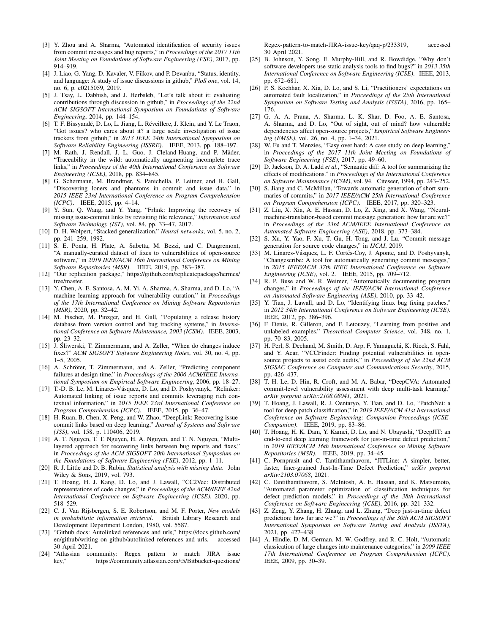- [3] Y. Zhou and A. Sharma, "Automated identification of security issues from commit messages and bug reports," in *Proceedings of the 2017 11th Joint Meeting on Foundations of Software Engineering (FSE)*, 2017, pp. 914–919.
- [4] J. Liao, G. Yang, D. Kavaler, V. Filkov, and P. Devanbu, "Status, identity, and language: A study of issue discussions in github," *PloS one*, vol. 14, no. 6, p. e0215059, 2019.
- [5] J. Tsay, L. Dabbish, and J. Herbsleb, "Let's talk about it: evaluating contributions through discussion in github," in *Proceedings of the 22nd ACM SIGSOFT International Symposium on Foundations of Software Engineering*, 2014, pp. 144–154.
- [6] T. F. Bissyandé, D. Lo, L. Jiang, L. Réveillere, J. Klein, and Y. Le Traon, "Got issues? who cares about it? a large scale investigation of issue trackers from github," in *2013 IEEE 24th International Symposium on Software Reliability Engineering (ISSRE)*. IEEE, 2013, pp. 188–197.
- [7] M. Rath, J. Rendall, J. L. Guo, J. Cleland-Huang, and P. Mäder, "Traceability in the wild: automatically augmenting incomplete trace links," in *Proceedings of the 40th International Conference on Software Engineering (ICSE)*, 2018, pp. 834–845.
- [8] G. Schermann, M. Brandtner, S. Panichella, P. Leitner, and H. Gall, "Discovering loners and phantoms in commit and issue data," in *2015 IEEE 23rd International Conference on Program Comprehension (ICPC)*. IEEE, 2015, pp. 4–14.
- [9] Y. Sun, Q. Wang, and Y. Yang, "Frlink: Improving the recovery of missing issue-commit links by revisiting file relevance," *Information and Software Technology (IST)*, vol. 84, pp. 33–47, 2017.
- [10] D. H. Wolpert, "Stacked generalization," *Neural networks*, vol. 5, no. 2, pp. 241–259, 1992.
- [11] S. E. Ponta, H. Plate, A. Sabetta, M. Bezzi, and C. Dangremont, "A manually-curated dataset of fixes to vulnerabilities of open-source software," in *2019 IEEE/ACM 16th International Conference on Mining Software Repositories (MSR)*. IEEE, 2019, pp. 383–387.
- [12] "Our replication package," https://github.com/replicatepackage/hermes/ tree/master.
- [13] Y. Chen, A. E. Santosa, A. M. Yi, A. Sharma, A. Sharma, and D. Lo, "A machine learning approach for vulnerability curation," in *Proceedings of the 17th International Conference on Mining Software Repositories (MSR)*, 2020, pp. 32–42.
- [14] M. Fischer, M. Pinzger, and H. Gall, "Populating a release history database from version control and bug tracking systems," in *International Conference on Software Maintenance, 2003 (ICSM)*. IEEE, 2003, pp. 23–32.
- [15] J. Śliwerski, T. Zimmermann, and A. Zeller, "When do changes induce fixes?" *ACM SIGSOFT Software Engineering Notes*, vol. 30, no. 4, pp. 1–5, 2005.
- [16] A. Schröter, T. Zimmermann, and A. Zeller, "Predicting component failures at design time," in *Proceedings of the 2006 ACM/IEEE International Symposium on Empirical Software Engineering*, 2006, pp. 18–27.
- [17] T.-D. B. Le, M. Linares-Vásquez, D. Lo, and D. Poshyvanyk, "Relinker: Automated linking of issue reports and commits leveraging rich contextual information," in *2015 IEEE 23rd International Conference on Program Comprehension (ICPC)*. IEEE, 2015, pp. 36–47.
- [18] H. Ruan, B. Chen, X. Peng, and W. Zhao, "DeepLink: Recovering issuecommit links based on deep learning," *Journal of Systems and Software (JSS)*, vol. 158, p. 110406, 2019.
- [19] A. T. Nguyen, T. T. Nguyen, H. A. Nguyen, and T. N. Nguyen, "Multilayered approach for recovering links between bug reports and fixes," in *Proceedings of the ACM SIGSOFT 20th International Symposium on the Foundations of Software Engineering (FSE)*, 2012, pp. 1–11.
- [20] R. J. Little and D. B. Rubin, *Statistical analysis with missing data*. John Wiley & Sons, 2019, vol. 793.
- [21] T. Hoang, H. J. Kang, D. Lo, and J. Lawall, "CC2Vec: Distributed representations of code changes," in *Proceedings of the ACM/IEEE 42nd International Conference on Software Engineering (ICSE)*, 2020, pp. 518–529.
- [22] C. J. Van Rijsbergen, S. E. Robertson, and M. F. Porter, *New models in probabilistic information retrieval*. British Library Research and Development Department London, 1980, vol. 5587.
- [23] "Github docs: Autolinked references and urls," https://docs.github.com/ en/github/writing-on-github/autolinked-references-and-urls, accessed 30 April 2021.
- [24] "Atlassian community: Regex pattern to match JIRA issue key," https://community.atlassian.com/t5/Bitbucket-questions/

Regex-pattern-to-match-JIRA-issue-key/qaq-p/233319, accessed 30 April 2021.

- [25] B. Johnson, Y. Song, E. Murphy-Hill, and R. Bowdidge, "Why don't software developers use static analysis tools to find bugs?" in *2013 35th International Conference on Software Engineering (ICSE)*. IEEE, 2013, pp. 672–681.
- [26] P. S. Kochhar, X. Xia, D. Lo, and S. Li, "Practitioners' expectations on automated fault localization," in *Proceedings of the 25th International Symposium on Software Testing and Analysis (ISSTA)*, 2016, pp. 165– 176.
- [27] G. A. A. Prana, A. Sharma, L. K. Shar, D. Foo, A. E. Santosa, A. Sharma, and D. Lo, "Out of sight, out of mind? how vulnerable dependencies affect open-source projects," *Empirical Software Engineering (EMSE)*, vol. 26, no. 4, pp. 1–34, 2021.
- [28] W. Fu and T. Menzies, "Easy over hard: A case study on deep learning," in *Proceedings of the 2017 11th Joint Meeting on Foundations of Software Engineering (FSE)*, 2017, pp. 49–60.
- [29] D. Jackson, D. A. Ladd *et al.*, "Semantic diff: A tool for summarizing the effects of modifications." in *Proceedings of the International Conference on Software Maintenance (ICSM)*, vol. 94. Citeseer, 1994, pp. 243–252.
- [30] S. Jiang and C. McMillan, "Towards automatic generation of short summaries of commits," in *2017 IEEE/ACM 25th International Conference on Program Comprehension (ICPC)*. IEEE, 2017, pp. 320–323.
- [31] Z. Liu, X. Xia, A. E. Hassan, D. Lo, Z. Xing, and X. Wang, "Neuralmachine-translation-based commit message generation: how far are we?" in *Proceedings of the 33rd ACM/IEEE International Conference on Automated Software Engineering (ASE)*, 2018, pp. 373–384.
- [32] S. Xu, Y. Yao, F. Xu, T. Gu, H. Tong, and J. Lu, "Commit message generation for source code changes," in *IJCAI*, 2019.
- [33] M. Linares-Vásquez, L. F. Cortés-Coy, J. Aponte, and D. Poshyvanyk, "Changescribe: A tool for automatically generating commit messages," in *2015 IEEE/ACM 37th IEEE International Conference on Software Engineering (ICSE)*, vol. 2. IEEE, 2015, pp. 709–712.
- [34] R. P. Buse and W. R. Weimer, "Automatically documenting program changes," in *Proceedings of the IEEE/ACM International Conference on Automated Software Engineering (ASE)*, 2010, pp. 33–42.
- [35] Y. Tian, J. Lawall, and D. Lo, "Identifying linux bug fixing patches," in *2012 34th International Conference on Software Engineering (ICSE)*. IEEE, 2012, pp. 386–396.
- [36] F. Denis, R. Gilleron, and F. Letouzey, "Learning from positive and unlabeled examples," *Theoretical Computer Science*, vol. 348, no. 1, pp. 70–83, 2005.
- [37] H. Perl, S. Dechand, M. Smith, D. Arp, F. Yamaguchi, K. Rieck, S. Fahl, and Y. Acar, "VCCFinder: Finding potential vulnerabilities in opensource projects to assist code audits," in *Proceedings of the 22nd ACM SIGSAC Conference on Computer and Communications Security*, 2015, pp. 426–437.
- [38] T. H. Le, D. Hin, R. Croft, and M. A. Babar, "DeepCVA: Automated commit-level vulnerability assessment with deep multi-task learning," *arXiv preprint arXiv:2108.08041*, 2021.
- [39] T. Hoang, J. Lawall, R. J. Oentaryo, Y. Tian, and D. Lo, "PatchNet: a tool for deep patch classification," in *2019 IEEE/ACM 41st International Conference on Software Engineering: Companion Proceedings (ICSE-Companion)*. IEEE, 2019, pp. 83–86.
- [40] T. Hoang, H. K. Dam, Y. Kamei, D. Lo, and N. Ubayashi, "DeepJIT: an end-to-end deep learning framework for just-in-time defect prediction," in *2019 IEEE/ACM 16th International Conference on Mining Software Repositories (MSR)*. IEEE, 2019, pp. 34–45.
- [41] C. Pornprasit and C. Tantithamthavorn, "JITLine: A simpler, better, faster, finer-grained Just-In-Time Defect Prediction," *arXiv preprint arXiv:2103.07068*, 2021.
- [42] C. Tantithamthavorn, S. McIntosh, A. E. Hassan, and K. Matsumoto, "Automated parameter optimization of classification techniques for defect prediction models," in *Proceedings of the 38th International Conference on Software Engineering (ICSE)*, 2016, pp. 321–332.
- [43] Z. Zeng, Y. Zhang, H. Zhang, and L. Zhang, "Deep just-in-time defect prediction: how far are we?" in *Proceedings of the 30th ACM SIGSOFT International Symposium on Software Testing and Analysis (ISSTA)*, 2021, pp. 427–438.
- [44] A. Hindle, D. M. German, M. W. Godfrey, and R. C. Holt, "Automatic classication of large changes into maintenance categories," in *2009 IEEE 17th International Conference on Program Comprehension (ICPC)*. IEEE, 2009, pp. 30–39.